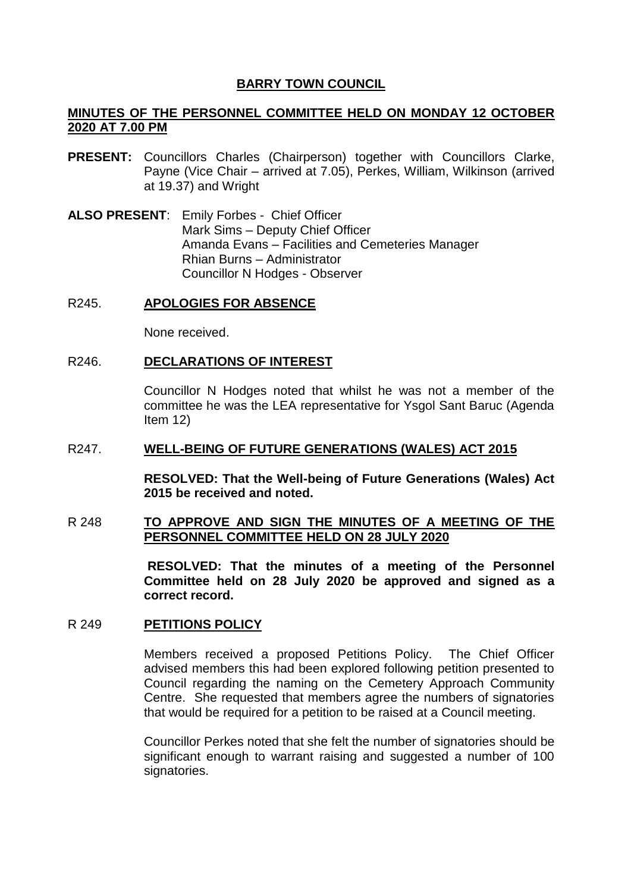# **BARRY TOWN COUNCIL**

# **MINUTES OF THE PERSONNEL COMMITTEE HELD ON MONDAY 12 OCTOBER 2020 AT 7.00 PM**

- **PRESENT:** Councillors Charles (Chairperson) together with Councillors Clarke, Payne (Vice Chair – arrived at 7.05), Perkes, William, Wilkinson (arrived at 19.37) and Wright
- **ALSO PRESENT**: Emily Forbes Chief Officer Mark Sims – Deputy Chief Officer Amanda Evans – Facilities and Cemeteries Manager Rhian Burns – Administrator Councillor N Hodges - Observer

## R245. **APOLOGIES FOR ABSENCE**

None received.

### R246. **DECLARATIONS OF INTEREST**

Councillor N Hodges noted that whilst he was not a member of the committee he was the LEA representative for Ysgol Sant Baruc (Agenda Item 12)

### R247. **WELL-BEING OF FUTURE GENERATIONS (WALES) ACT 2015**

**RESOLVED: That the Well-being of Future Generations (Wales) Act 2015 be received and noted.**

## R 248 **TO APPROVE AND SIGN THE MINUTES OF A MEETING OF THE PERSONNEL COMMITTEE HELD ON 28 JULY 2020**

**RESOLVED: That the minutes of a meeting of the Personnel Committee held on 28 July 2020 be approved and signed as a correct record.** 

## R 249 **PETITIONS POLICY**

Members received a proposed Petitions Policy. The Chief Officer advised members this had been explored following petition presented to Council regarding the naming on the Cemetery Approach Community Centre. She requested that members agree the numbers of signatories that would be required for a petition to be raised at a Council meeting.

Councillor Perkes noted that she felt the number of signatories should be significant enough to warrant raising and suggested a number of 100 signatories.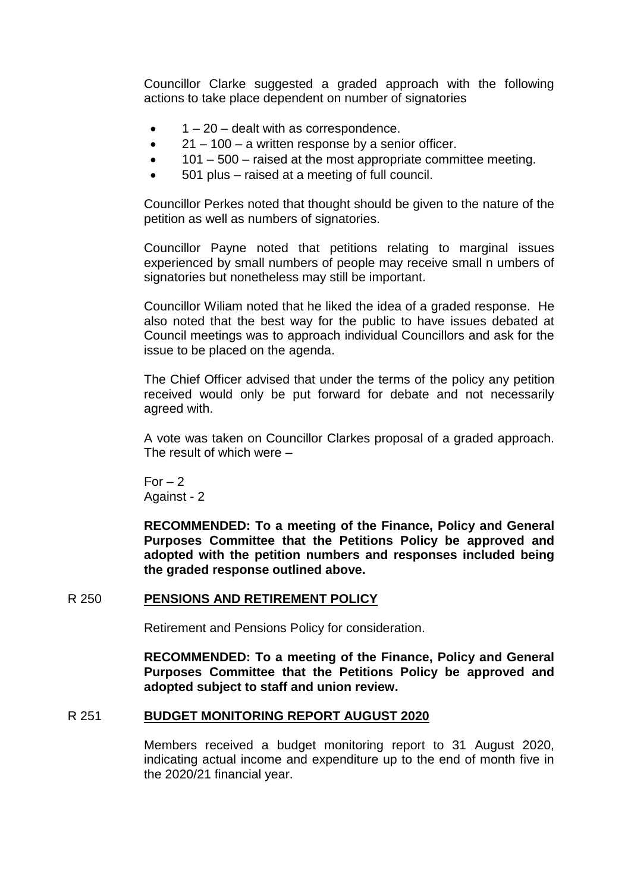Councillor Clarke suggested a graded approach with the following actions to take place dependent on number of signatories

- $\bullet$   $1 20$  dealt with as correspondence.
- $\bullet$  21 100 a written response by a senior officer.
- 101 500 raised at the most appropriate committee meeting.
- 501 plus raised at a meeting of full council.

Councillor Perkes noted that thought should be given to the nature of the petition as well as numbers of signatories.

Councillor Payne noted that petitions relating to marginal issues experienced by small numbers of people may receive small n umbers of signatories but nonetheless may still be important.

Councillor Wiliam noted that he liked the idea of a graded response. He also noted that the best way for the public to have issues debated at Council meetings was to approach individual Councillors and ask for the issue to be placed on the agenda.

The Chief Officer advised that under the terms of the policy any petition received would only be put forward for debate and not necessarily agreed with.

A vote was taken on Councillor Clarkes proposal of a graded approach. The result of which were –

 $For - 2$ Against - 2

**RECOMMENDED: To a meeting of the Finance, Policy and General Purposes Committee that the Petitions Policy be approved and adopted with the petition numbers and responses included being the graded response outlined above.**

## R 250 **PENSIONS AND RETIREMENT POLICY**

Retirement and Pensions Policy for consideration.

**RECOMMENDED: To a meeting of the Finance, Policy and General Purposes Committee that the Petitions Policy be approved and adopted subject to staff and union review.**

## R 251 **BUDGET MONITORING REPORT AUGUST 2020**

Members received a budget monitoring report to 31 August 2020, indicating actual income and expenditure up to the end of month five in the 2020/21 financial year.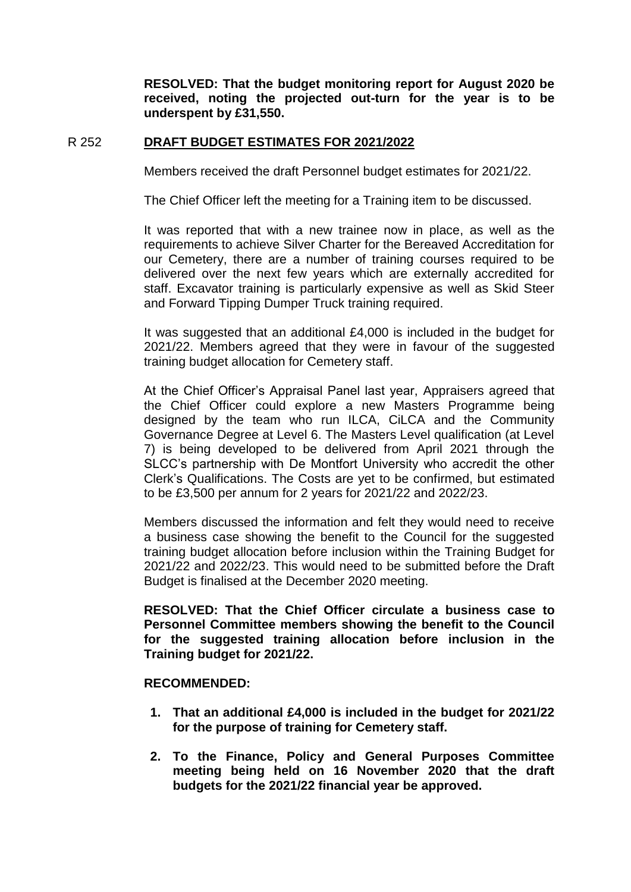**RESOLVED: That the budget monitoring report for August 2020 be received, noting the projected out-turn for the year is to be underspent by £31,550.**

## R 252 **DRAFT BUDGET ESTIMATES FOR 2021/2022**

Members received the draft Personnel budget estimates for 2021/22.

The Chief Officer left the meeting for a Training item to be discussed.

It was reported that with a new trainee now in place, as well as the requirements to achieve Silver Charter for the Bereaved Accreditation for our Cemetery, there are a number of training courses required to be delivered over the next few years which are externally accredited for staff. Excavator training is particularly expensive as well as Skid Steer and Forward Tipping Dumper Truck training required.

It was suggested that an additional £4,000 is included in the budget for 2021/22. Members agreed that they were in favour of the suggested training budget allocation for Cemetery staff.

At the Chief Officer's Appraisal Panel last year, Appraisers agreed that the Chief Officer could explore a new Masters Programme being designed by the team who run ILCA, CiLCA and the Community Governance Degree at Level 6. The Masters Level qualification (at Level 7) is being developed to be delivered from April 2021 through the SLCC's partnership with De Montfort University who accredit the other Clerk's Qualifications. The Costs are yet to be confirmed, but estimated to be £3,500 per annum for 2 years for 2021/22 and 2022/23.

Members discussed the information and felt they would need to receive a business case showing the benefit to the Council for the suggested training budget allocation before inclusion within the Training Budget for 2021/22 and 2022/23. This would need to be submitted before the Draft Budget is finalised at the December 2020 meeting.

**RESOLVED: That the Chief Officer circulate a business case to Personnel Committee members showing the benefit to the Council for the suggested training allocation before inclusion in the Training budget for 2021/22.**

## **RECOMMENDED:**

- **1. That an additional £4,000 is included in the budget for 2021/22 for the purpose of training for Cemetery staff.**
- **2. To the Finance, Policy and General Purposes Committee meeting being held on 16 November 2020 that the draft budgets for the 2021/22 financial year be approved.**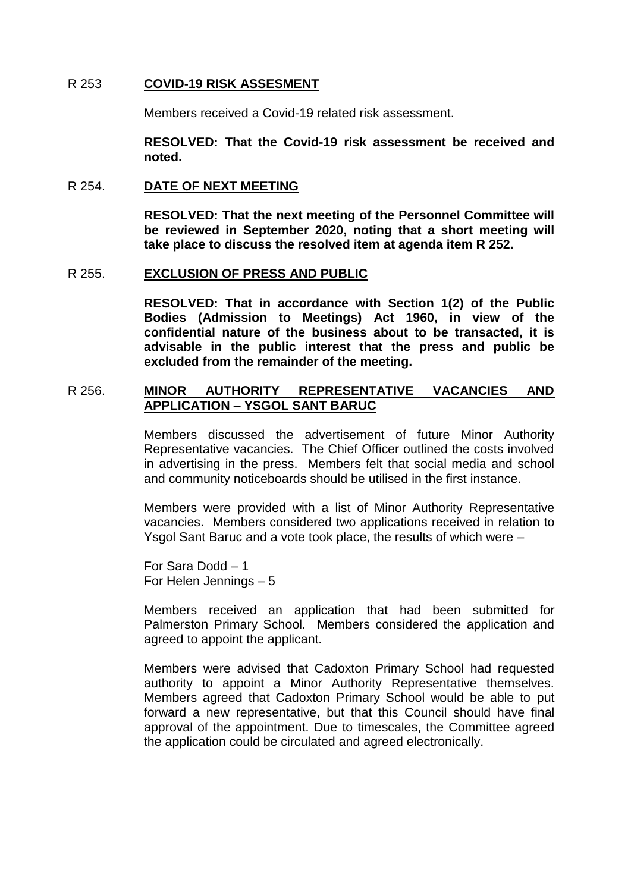## R 253 **COVID-19 RISK ASSESMENT**

Members received a Covid-19 related risk assessment.

**RESOLVED: That the Covid-19 risk assessment be received and noted.**

### R 254. **DATE OF NEXT MEETING**

**RESOLVED: That the next meeting of the Personnel Committee will be reviewed in September 2020, noting that a short meeting will take place to discuss the resolved item at agenda item R 252.** 

#### R 255. **EXCLUSION OF PRESS AND PUBLIC**

**RESOLVED: That in accordance with Section 1(2) of the Public Bodies (Admission to Meetings) Act 1960, in view of the confidential nature of the business about to be transacted, it is advisable in the public interest that the press and public be excluded from the remainder of the meeting.** 

# R 256. **MINOR AUTHORITY REPRESENTATIVE VACANCIES AND APPLICATION – YSGOL SANT BARUC**

Members discussed the advertisement of future Minor Authority Representative vacancies. The Chief Officer outlined the costs involved in advertising in the press. Members felt that social media and school and community noticeboards should be utilised in the first instance.

Members were provided with a list of Minor Authority Representative vacancies. Members considered two applications received in relation to Ysgol Sant Baruc and a vote took place, the results of which were –

For Sara Dodd – 1 For Helen Jennings – 5

Members received an application that had been submitted for Palmerston Primary School. Members considered the application and agreed to appoint the applicant.

Members were advised that Cadoxton Primary School had requested authority to appoint a Minor Authority Representative themselves. Members agreed that Cadoxton Primary School would be able to put forward a new representative, but that this Council should have final approval of the appointment. Due to timescales, the Committee agreed the application could be circulated and agreed electronically.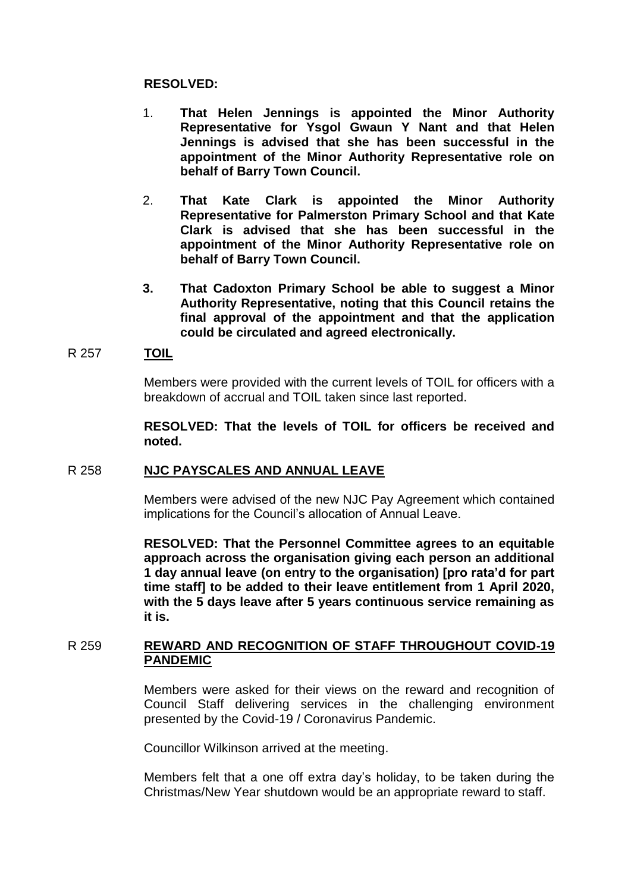## **RESOLVED:**

- 1. **That Helen Jennings is appointed the Minor Authority Representative for Ysgol Gwaun Y Nant and that Helen Jennings is advised that she has been successful in the appointment of the Minor Authority Representative role on behalf of Barry Town Council.**
- 2. **That Kate Clark is appointed the Minor Authority Representative for Palmerston Primary School and that Kate Clark is advised that she has been successful in the appointment of the Minor Authority Representative role on behalf of Barry Town Council.**
- **3. That Cadoxton Primary School be able to suggest a Minor Authority Representative, noting that this Council retains the final approval of the appointment and that the application could be circulated and agreed electronically.**

## R 257 **TOIL**

Members were provided with the current levels of TOIL for officers with a breakdown of accrual and TOIL taken since last reported.

**RESOLVED: That the levels of TOIL for officers be received and noted.**

## R 258 **NJC PAYSCALES AND ANNUAL LEAVE**

Members were advised of the new NJC Pay Agreement which contained implications for the Council's allocation of Annual Leave.

**RESOLVED: That the Personnel Committee agrees to an equitable approach across the organisation giving each person an additional 1 day annual leave (on entry to the organisation) [pro rata'd for part time staff] to be added to their leave entitlement from 1 April 2020, with the 5 days leave after 5 years continuous service remaining as it is.**

# R 259 **REWARD AND RECOGNITION OF STAFF THROUGHOUT COVID-19 PANDEMIC**

Members were asked for their views on the reward and recognition of Council Staff delivering services in the challenging environment presented by the Covid-19 / Coronavirus Pandemic.

Councillor Wilkinson arrived at the meeting.

Members felt that a one off extra day's holiday, to be taken during the Christmas/New Year shutdown would be an appropriate reward to staff.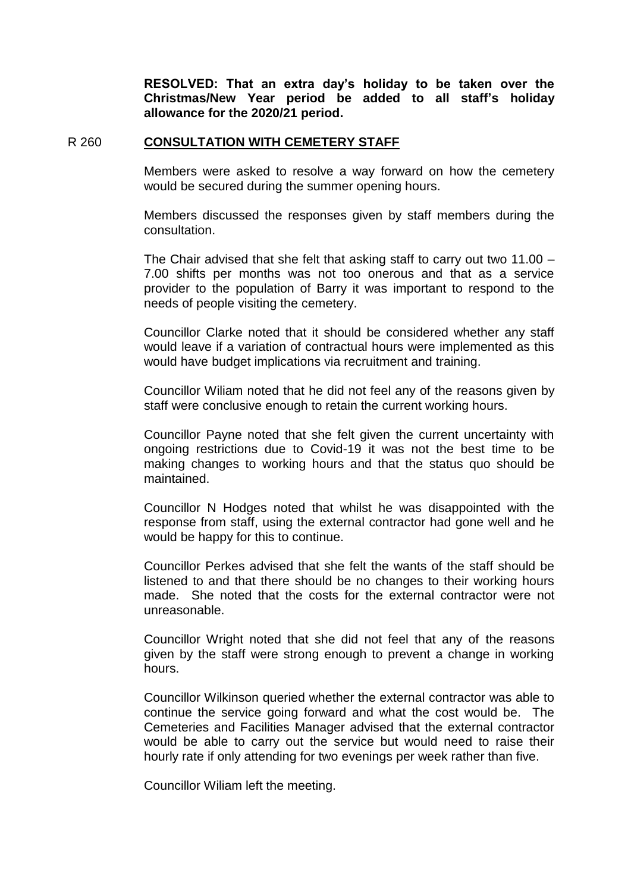**RESOLVED: That an extra day's holiday to be taken over the Christmas/New Year period be added to all staff's holiday allowance for the 2020/21 period.**

#### R 260 **CONSULTATION WITH CEMETERY STAFF**

Members were asked to resolve a way forward on how the cemetery would be secured during the summer opening hours.

Members discussed the responses given by staff members during the consultation.

The Chair advised that she felt that asking staff to carry out two 11.00 – 7.00 shifts per months was not too onerous and that as a service provider to the population of Barry it was important to respond to the needs of people visiting the cemetery.

Councillor Clarke noted that it should be considered whether any staff would leave if a variation of contractual hours were implemented as this would have budget implications via recruitment and training.

Councillor Wiliam noted that he did not feel any of the reasons given by staff were conclusive enough to retain the current working hours.

Councillor Payne noted that she felt given the current uncertainty with ongoing restrictions due to Covid-19 it was not the best time to be making changes to working hours and that the status quo should be maintained.

Councillor N Hodges noted that whilst he was disappointed with the response from staff, using the external contractor had gone well and he would be happy for this to continue.

Councillor Perkes advised that she felt the wants of the staff should be listened to and that there should be no changes to their working hours made. She noted that the costs for the external contractor were not unreasonable.

Councillor Wright noted that she did not feel that any of the reasons given by the staff were strong enough to prevent a change in working hours.

Councillor Wilkinson queried whether the external contractor was able to continue the service going forward and what the cost would be. The Cemeteries and Facilities Manager advised that the external contractor would be able to carry out the service but would need to raise their hourly rate if only attending for two evenings per week rather than five.

Councillor Wiliam left the meeting.